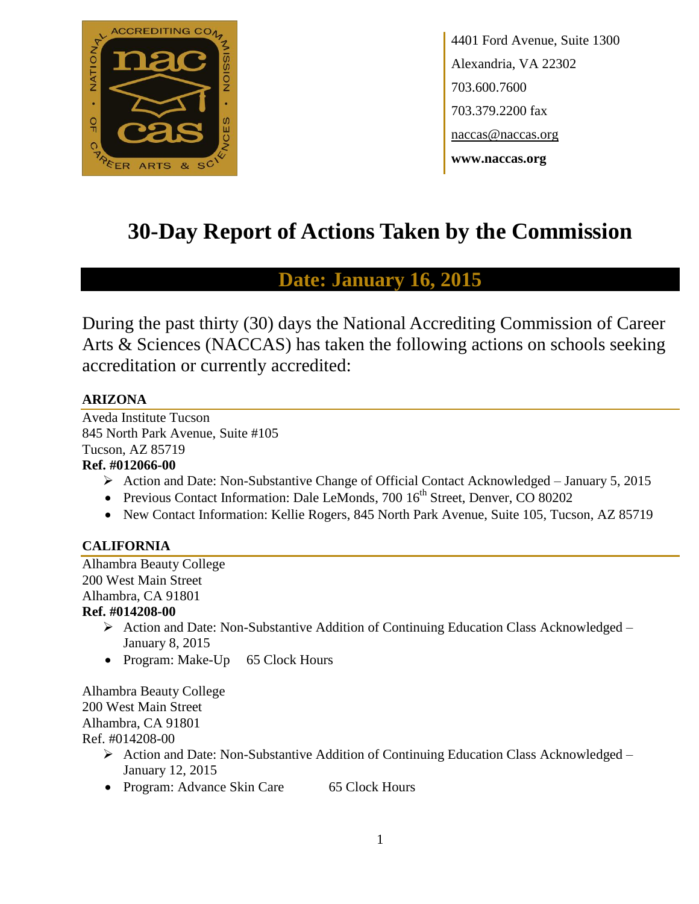

4401 Ford Avenue, Suite 1300 Alexandria, VA 22302 703.600.7600 703.379.2200 fax naccas@naccas.org **www.naccas.org**

# **30-Day Report of Actions Taken by the Commission**

## **Date: January 16, 2015**

During the past thirty (30) days the National Accrediting Commission of Career Arts & Sciences (NACCAS) has taken the following actions on schools seeking accreditation or currently accredited:

## **ARIZONA**

Aveda Institute Tucson 845 North Park Avenue, Suite #105 Tucson, AZ 85719 **Ref. #012066-00**

- Action and Date: Non-Substantive Change of Official Contact Acknowledged January 5, 2015
- Previous Contact Information: Dale LeMonds, 700 16<sup>th</sup> Street, Denver, CO 80202
- New Contact Information: Kellie Rogers, 845 North Park Avenue, Suite 105, Tucson, AZ 85719

## **CALIFORNIA**

Alhambra Beauty College 200 West Main Street Alhambra, CA 91801

#### **Ref. #014208-00**

- $\triangleright$  Action and Date: Non-Substantive Addition of Continuing Education Class Acknowledged January 8, 2015
- Program: Make-Up 65 Clock Hours

Alhambra Beauty College 200 West Main Street Alhambra, CA 91801 Ref. #014208-00

- ▶ Action and Date: Non-Substantive Addition of Continuing Education Class Acknowledged January 12, 2015
- Program: Advance Skin Care 65 Clock Hours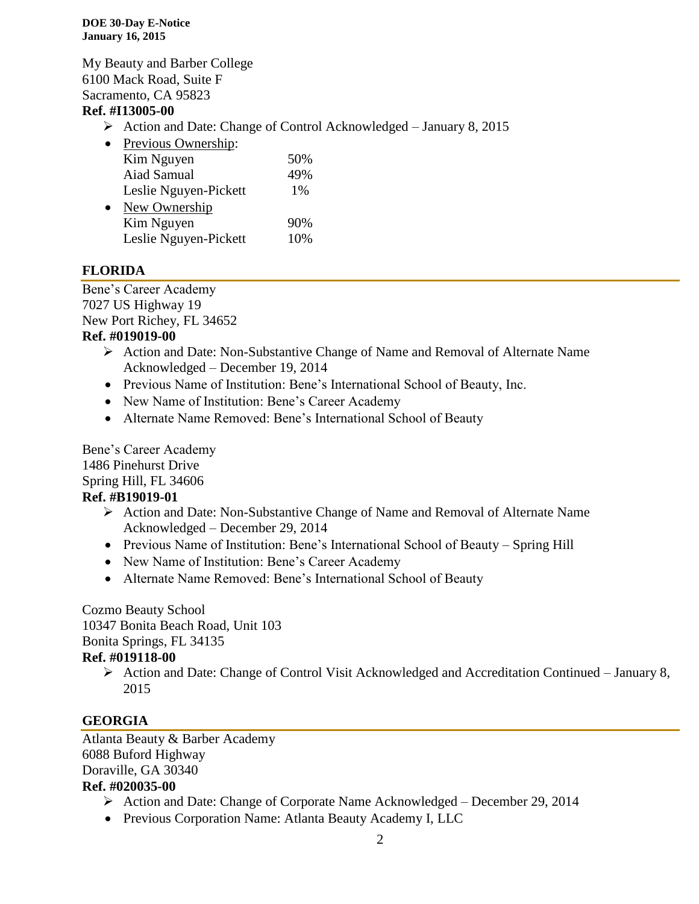**DOE 30-Day E-Notice January 16, 2015**

My Beauty and Barber College 6100 Mack Road, Suite F Sacramento, CA 95823

#### **Ref. #I13005-00**

 $\triangleright$  Action and Date: Change of Control Acknowledged – January 8, 2015

| Previous Ownership:   |       |
|-----------------------|-------|
| Kim Nguyen            | 50%   |
| Aiad Samual           | 49%   |
| Leslie Nguyen-Pickett | $1\%$ |
| New Ownership         |       |
| Kim Nguyen            | 90%   |
| Leslie Nguyen-Pickett | 10%   |
|                       |       |

## **FLORIDA**

Bene's Career Academy 7027 US Highway 19 New Port Richey, FL 34652 **Ref. #019019-00**

- Action and Date: Non-Substantive Change of Name and Removal of Alternate Name Acknowledged – December 19, 2014
- Previous Name of Institution: Bene's International School of Beauty, Inc.
- New Name of Institution: Bene's Career Academy
- Alternate Name Removed: Bene's International School of Beauty

Bene's Career Academy 1486 Pinehurst Drive Spring Hill, FL 34606 **Ref. #B19019-01**

- Action and Date: Non-Substantive Change of Name and Removal of Alternate Name Acknowledged – December 29, 2014
- Previous Name of Institution: Bene's International School of Beauty Spring Hill
- New Name of Institution: Bene's Career Academy
- Alternate Name Removed: Bene's International School of Beauty

## Cozmo Beauty School

10347 Bonita Beach Road, Unit 103

Bonita Springs, FL 34135

## **Ref. #019118-00**

 $\triangleright$  Action and Date: Change of Control Visit Acknowledged and Accreditation Continued – January 8, 2015

## **GEORGIA**

Atlanta Beauty & Barber Academy 6088 Buford Highway Doraville, GA 30340 **Ref. #020035-00**

- Action and Date: Change of Corporate Name Acknowledged December 29, 2014
- Previous Corporation Name: Atlanta Beauty Academy I, LLC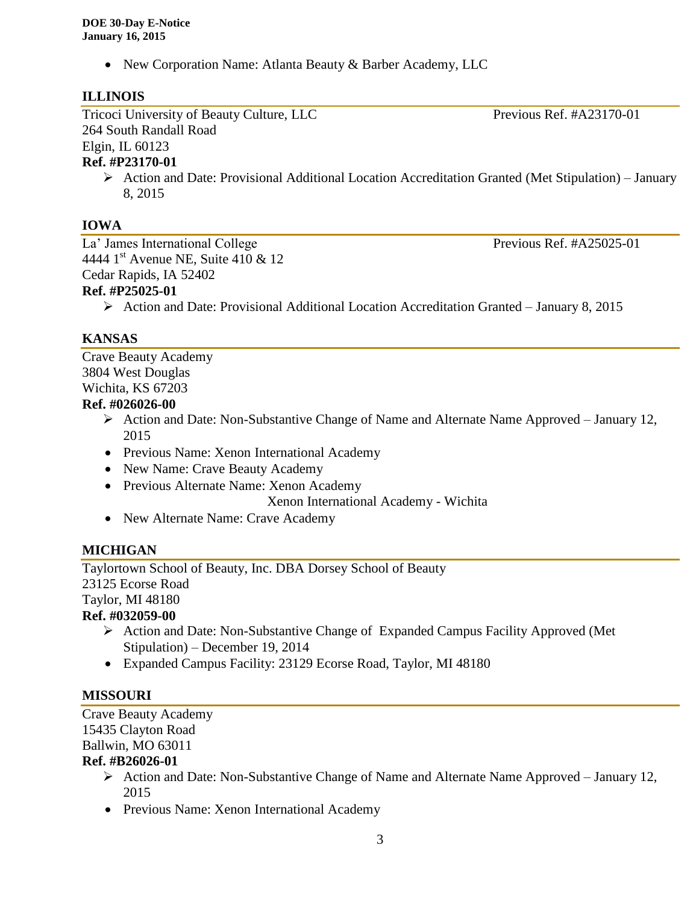• New Corporation Name: Atlanta Beauty & Barber Academy, LLC

### **ILLINOIS**

Tricoci University of Beauty Culture, LLC Previous Ref. #A23170-01 264 South Randall Road Elgin, IL 60123

## **Ref. #P23170-01**

 $\triangleright$  Action and Date: Provisional Additional Location Accreditation Granted (Met Stipulation) – January 8, 2015

## **IOWA**

La' James International College Previous Ref. #A25025-01 4444 1<sup>st</sup> Avenue NE, Suite 410 & 12 Cedar Rapids, IA 52402 **Ref. #P25025-01**

## Action and Date: Provisional Additional Location Accreditation Granted – January 8, 2015

## **KANSAS**

Crave Beauty Academy 3804 West Douglas Wichita, KS 67203

## **Ref. #026026-00**

- $\triangleright$  Action and Date: Non-Substantive Change of Name and Alternate Name Approved January 12, 2015
- Previous Name: Xenon International Academy
- New Name: Crave Beauty Academy
- Previous Alternate Name: Xenon Academy

Xenon International Academy - Wichita

• New Alternate Name: Crave Academy

## **MICHIGAN**

Taylortown School of Beauty, Inc. DBA Dorsey School of Beauty 23125 Ecorse Road Taylor, MI 48180

## **Ref. #032059-00**

- $\triangleright$  Action and Date: Non-Substantive Change of Expanded Campus Facility Approved (Met Stipulation) – December 19, 2014
- Expanded Campus Facility: 23129 Ecorse Road, Taylor, MI 48180

## **MISSOURI**

Crave Beauty Academy 15435 Clayton Road Ballwin, MO 63011

## **Ref. #B26026-01**

- Action and Date: Non-Substantive Change of Name and Alternate Name Approved January 12, 2015
- Previous Name: Xenon International Academy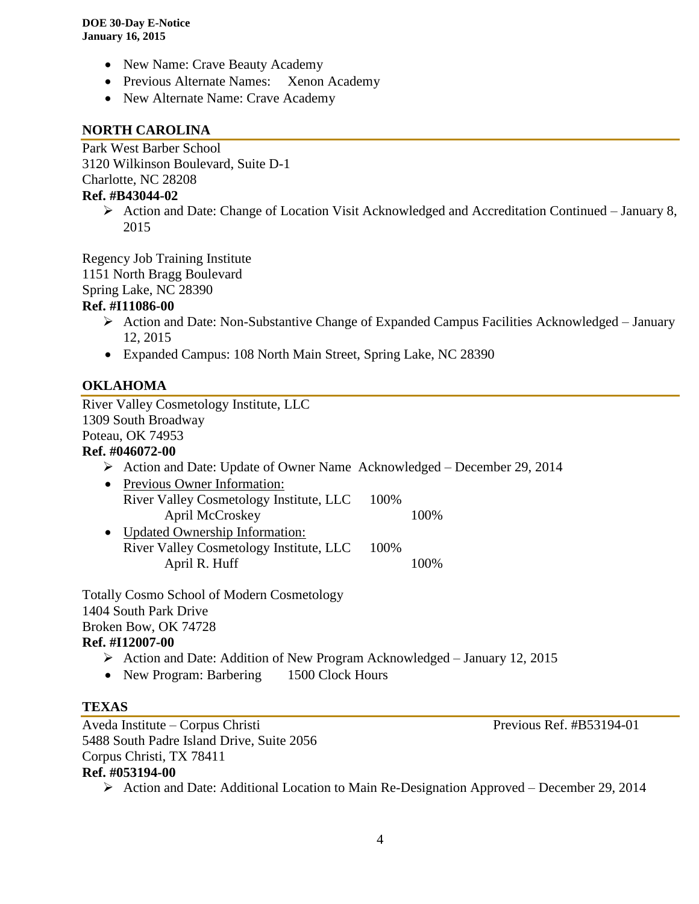- New Name: Crave Beauty Academy
- Previous Alternate Names: Xenon Academy
- New Alternate Name: Crave Academy

#### **NORTH CAROLINA**

Park West Barber School 3120 Wilkinson Boulevard, Suite D-1 Charlotte, NC 28208

#### **Ref. #B43044-02**

 Action and Date: Change of Location Visit Acknowledged and Accreditation Continued – January 8, 2015

Regency Job Training Institute 1151 North Bragg Boulevard

Spring Lake, NC 28390

#### **Ref. #I11086-00**

- $\triangleright$  Action and Date: Non-Substantive Change of Expanded Campus Facilities Acknowledged January 12, 2015
- Expanded Campus: 108 North Main Street, Spring Lake, NC 28390

#### **OKLAHOMA**

River Valley Cosmetology Institute, LLC 1309 South Broadway Poteau, OK 74953 **Ref. #046072-00** Action and Date: Update of Owner Name Acknowledged – December 29, 2014 • Previous Owner Information: River Valley Cosmetology Institute, LLC 100% April McCroskey 100% • Updated Ownership Information: River Valley Cosmetology Institute, LLC 100% April R. Huff 100% Totally Cosmo School of Modern Cosmetology 1404 South Park Drive Broken Bow, OK 74728 **Ref. #I12007-00**

- Action and Date: Addition of New Program Acknowledged January 12, 2015
- New Program: Barbering 1500 Clock Hours

#### **TEXAS**

Aveda Institute – Corpus Christi Previous Ref. #B53194-01 5488 South Padre Island Drive, Suite 2056 Corpus Christi, TX 78411 **Ref. #053194-00**

Action and Date: Additional Location to Main Re-Designation Approved – December 29, 2014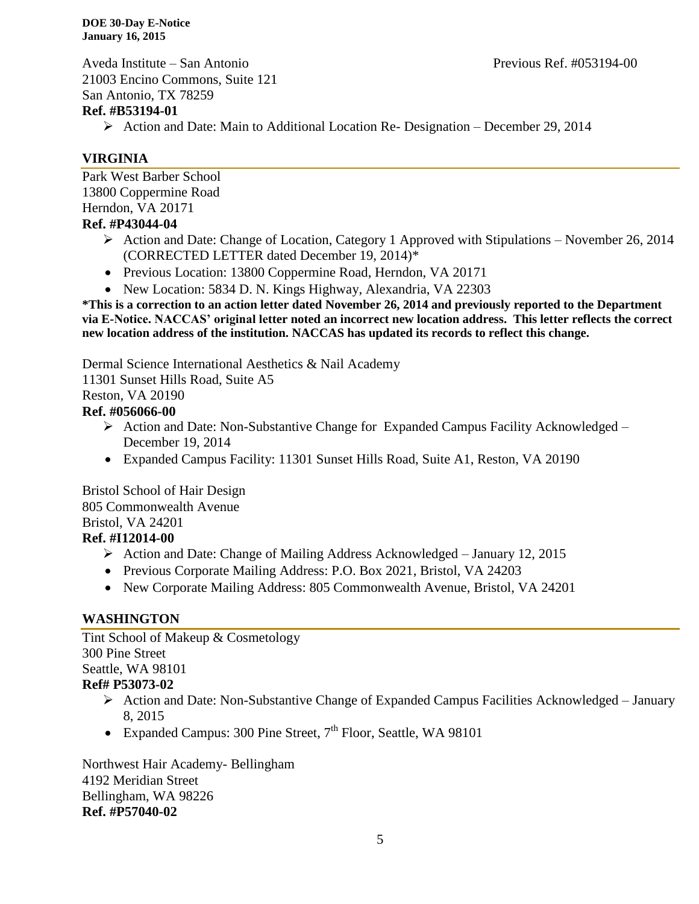**DOE 30-Day E-Notice January 16, 2015**

Aveda Institute – San Antonio Previous Ref. #053194-00 21003 Encino Commons, Suite 121 San Antonio, TX 78259

#### **Ref. #B53194-01**

Action and Date: Main to Additional Location Re- Designation – December 29, 2014

### **VIRGINIA**

Park West Barber School 13800 Coppermine Road Herndon, VA 20171 **Ref. #P43044-04**

- Action and Date: Change of Location, Category 1 Approved with Stipulations November 26, 2014 (CORRECTED LETTER dated December 19, 2014)\*
- Previous Location: 13800 Coppermine Road, Herndon, VA 20171
- New Location: 5834 D. N. Kings Highway, Alexandria, VA 22303

**\*This is a correction to an action letter dated November 26, 2014 and previously reported to the Department via E-Notice. NACCAS' original letter noted an incorrect new location address. This letter reflects the correct new location address of the institution. NACCAS has updated its records to reflect this change.**

Dermal Science International Aesthetics & Nail Academy

11301 Sunset Hills Road, Suite A5

Reston, VA 20190

#### **Ref. #056066-00**

- $\triangleright$  Action and Date: Non-Substantive Change for Expanded Campus Facility Acknowledged December 19, 2014
- Expanded Campus Facility: 11301 Sunset Hills Road, Suite A1, Reston, VA 20190

Bristol School of Hair Design 805 Commonwealth Avenue Bristol, VA 24201 **Ref. #I12014-00**

- Action and Date: Change of Mailing Address Acknowledged January 12, 2015
- Previous Corporate Mailing Address: P.O. Box 2021, Bristol, VA 24203
- New Corporate Mailing Address: 805 Commonwealth Avenue, Bristol, VA 24201

## **WASHINGTON**

Tint School of Makeup & Cosmetology 300 Pine Street Seattle, WA 98101 **Ref# P53073-02**

- $\triangleright$  Action and Date: Non-Substantive Change of Expanded Campus Facilities Acknowledged January 8, 2015
- Expanded Campus: 300 Pine Street,  $7<sup>th</sup>$  Floor, Seattle, WA 98101

Northwest Hair Academy- Bellingham 4192 Meridian Street Bellingham, WA 98226 **Ref. #P57040-02**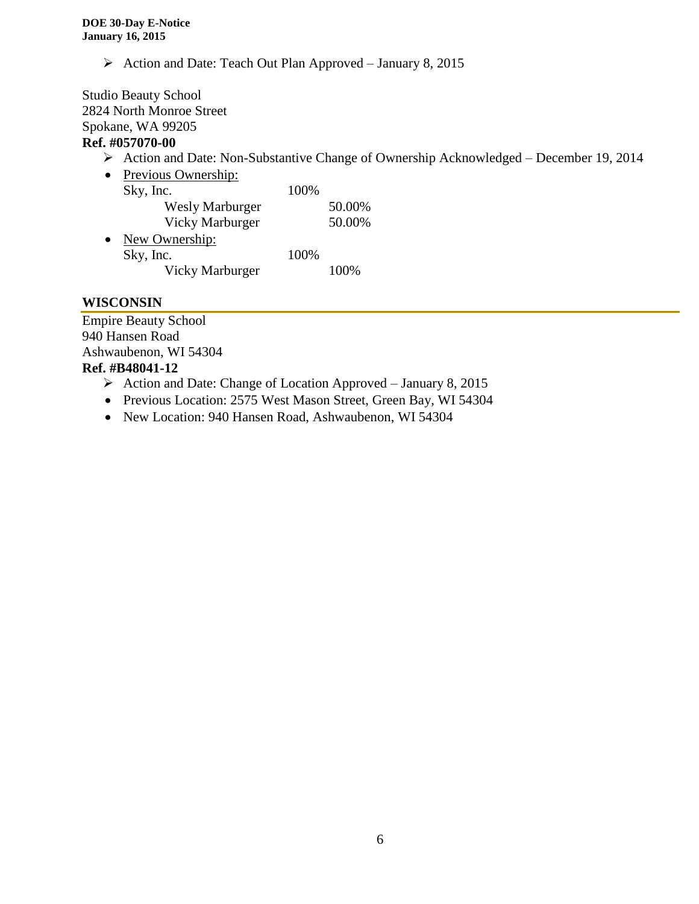Action and Date: Teach Out Plan Approved – January 8, 2015

Studio Beauty School 2824 North Monroe Street Spokane, WA 99205 **Ref. #057070-00**

#### Action and Date: Non-Substantive Change of Ownership Acknowledged – December 19, 2014

| $\bullet$ | Previous Ownership:    |      |        |
|-----------|------------------------|------|--------|
|           | Sky, Inc.              | 100% |        |
|           | <b>Wesly Marburger</b> |      | 50.00% |
|           | <b>Vicky Marburger</b> |      | 50.00% |
| $\bullet$ | New Ownership:         |      |        |
|           | Sky, Inc.              | 100% |        |
|           | <b>Vicky Marburger</b> |      | 100%   |
|           |                        |      |        |

#### **WISCONSIN**

Empire Beauty School 940 Hansen Road Ashwaubenon, WI 54304 **Ref. #B48041-12**

#### $\triangleright$  Action and Date: Change of Location Approved – January 8, 2015

- Previous Location: 2575 West Mason Street, Green Bay, WI 54304
- New Location: 940 Hansen Road, Ashwaubenon, WI 54304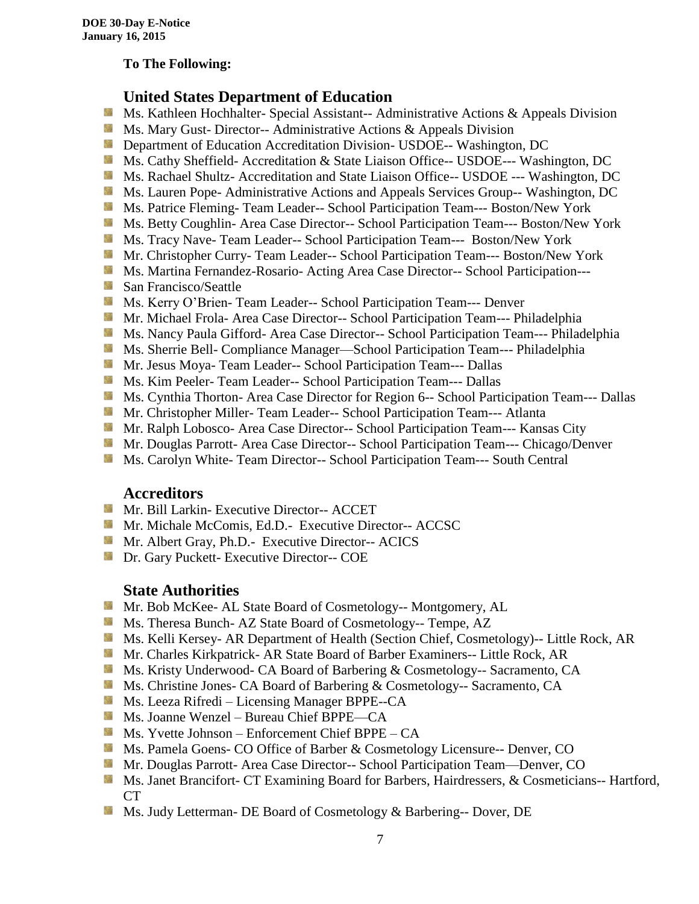#### **To The Following:**

## **United States Department of Education**

- **Ms. Kathleen Hochhalter- Special Assistant-- Administrative Actions & Appeals Division**
- **MS. Mary Gust- Director-- Administrative Actions & Appeals Division**
- **Department of Education Accreditation Division- USDOE-- Washington, DC**
- Ms. Cathy Sheffield- Accreditation & State Liaison Office-- USDOE--- Washington, DC
- **MS. Rachael Shultz- Accreditation and State Liaison Office-- USDOE --- Washington, DC**
- Ms. Lauren Pope- Administrative Actions and Appeals Services Group-- Washington, DC
- Ms. Patrice Fleming-Team Leader-- School Participation Team--- Boston/New York
- **MS. Betty Coughlin- Area Case Director-- School Participation Team--- Boston/New York**
- Ms. Tracy Nave-Team Leader-- School Participation Team--- Boston/New York
- **Mr. Christopher Curry- Team Leader-- School Participation Team--- Boston/New York**
- Ms. Martina Fernandez-Rosario- Acting Area Case Director-- School Participation---
- **San Francisco/Seattle**
- **Ms. Kerry O'Brien- Team Leader-- School Participation Team--- Denver**
- **Mr. Michael Frola- Area Case Director-- School Participation Team--- Philadelphia**
- **MS. Nancy Paula Gifford- Area Case Director-- School Participation Team--- Philadelphia**
- Ms. Sherrie Bell- Compliance Manager—School Participation Team--- Philadelphia
- Mr. Jesus Moya- Team Leader-- School Participation Team--- Dallas
- **MS. Kim Peeler- Team Leader-- School Participation Team--- Dallas**
- **Ms. Cynthia Thorton- Area Case Director for Region 6-- School Participation Team--- Dallas**
- **Mr.** Christopher Miller-Team Leader-- School Participation Team--- Atlanta
- Mr. Ralph Lobosco- Area Case Director-- School Participation Team--- Kansas City
- Mr. Douglas Parrott- Area Case Director-- School Participation Team--- Chicago/Denver
- **MS. Carolyn White-Team Director-- School Participation Team--- South Central**

#### **Accreditors**

- **Mr. Bill Larkin- Executive Director-- ACCET**
- **Mr. Michale McComis, Ed.D.- Executive Director-- ACCSC**
- Mr. Albert Gray, Ph.D.- Executive Director-- ACICS
- **Dr.** Gary Puckett- Executive Director-- COE

## **State Authorities**

- **Mr.** Bob McKee- AL State Board of Cosmetology-- Montgomery, AL
- Ms. Theresa Bunch- AZ State Board of Cosmetology-- Tempe, AZ
- Ms. Kelli Kersey- AR Department of Health (Section Chief, Cosmetology)-- Little Rock, AR
- Mr. Charles Kirkpatrick- AR State Board of Barber Examiners-- Little Rock, AR
- Ms. Kristy Underwood- CA Board of Barbering & Cosmetology-- Sacramento, CA
- Ms. Christine Jones- CA Board of Barbering & Cosmetology-- Sacramento, CA
- **Ms. Leeza Rifredi** Licensing Manager BPPE--CA
- Ms. Joanne Wenzel Bureau Chief BPPE—CA
- Ms. Yvette Johnson Enforcement Chief BPPE CA
- **Ms. Pamela Goens- CO Office of Barber & Cosmetology Licensure-- Denver, CO**
- **Mr. Douglas Parrott- Area Case Director-- School Participation Team—Denver, CO**
- Ms. Janet Brancifort- CT Examining Board for Barbers, Hairdressers, & Cosmeticians-- Hartford, CT
- Ms. Judy Letterman- DE Board of Cosmetology & Barbering-- Dover, DE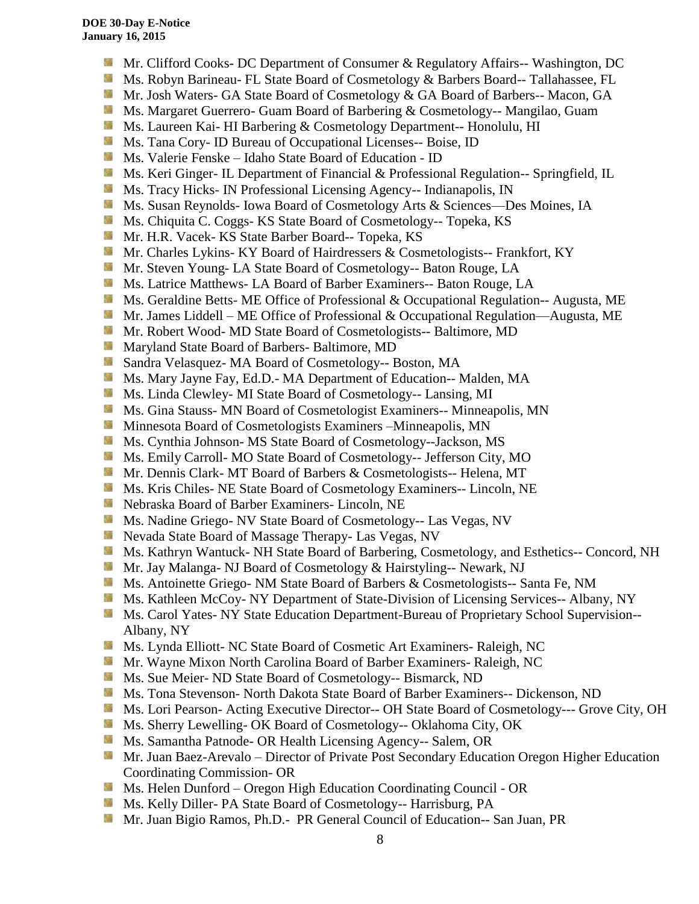- S. Mr. Clifford Cooks- DC Department of Consumer & Regulatory Affairs-- Washington, DC
- Ms. Robyn Barineau- FL State Board of Cosmetology & Barbers Board-- Tallahassee, FL
- Mr. Josh Waters- GA State Board of Cosmetology & GA Board of Barbers-- Macon, GA
- **Ms. Margaret Guerrero- Guam Board of Barbering & Cosmetology-- Mangilao, Guam**
- **Ms. Laureen Kai- HI Barbering & Cosmetology Department-- Honolulu, HI**
- **Ms.** Tana Cory- ID Bureau of Occupational Licenses-- Boise, ID
- Ms. Valerie Fenske Idaho State Board of Education ID
- **Ms. Keri Ginger- IL Department of Financial & Professional Regulation-- Springfield, IL**
- Side. Ms. Tracy Hicks- IN Professional Licensing Agency-- Indianapolis, IN
- Ms. Susan Reynolds- Iowa Board of Cosmetology Arts & Sciences—Des Moines, IA
- Ms. Chiquita C. Coggs- KS State Board of Cosmetology-- Topeka, KS
- 56 Mr. H.R. Vacek- KS State Barber Board-- Topeka, KS
- Mr. Charles Lykins- KY Board of Hairdressers & Cosmetologists-- Frankfort, KY
- **Mr.** Steven Young-LA State Board of Cosmetology-- Baton Rouge, LA
- **Ms.** Latrice Matthews- LA Board of Barber Examiners-- Baton Rouge, LA
- **Ms. Geraldine Betts- ME Office of Professional & Occupational Regulation-- Augusta, ME**
- **Mr.** James Liddell ME Office of Professional & Occupational Regulation—Augusta, ME
- **Mr. Robert Wood- MD State Board of Cosmetologists-- Baltimore, MD**
- **Maryland State Board of Barbers- Baltimore, MD**
- Sandra Velasquez- MA Board of Cosmetology-- Boston, MA
- Ms. Mary Jayne Fay, Ed.D.- MA Department of Education-- Malden, MA
- Sila Ms. Linda Clewley- MI State Board of Cosmetology-- Lansing, MI
- **Ms.** Gina Stauss- MN Board of Cosmetologist Examiners-- Minneapolis, MN
- **M** Minnesota Board of Cosmetologists Examiners –Minneapolis, MN
- 59 Ms. Cynthia Johnson- MS State Board of Cosmetology--Jackson, MS
- Ms. Emily Carroll- MO State Board of Cosmetology-- Jefferson City, MO
- Mr. Dennis Clark- MT Board of Barbers & Cosmetologists-- Helena, MT
- Ms. Kris Chiles- NE State Board of Cosmetology Examiners-- Lincoln, NE
- Nebraska Board of Barber Examiners- Lincoln, NE
- **Ms. Nadine Griego- NV State Board of Cosmetology-- Las Vegas, NV**
- Nevada State Board of Massage Therapy- Las Vegas, NV
- Ms. Kathryn Wantuck- NH State Board of Barbering, Cosmetology, and Esthetics-- Concord, NH
- Mr. Jay Malanga- NJ Board of Cosmetology & Hairstyling-- Newark, NJ
- Ms. Antoinette Griego- NM State Board of Barbers & Cosmetologists-- Santa Fe, NM
- **Ms. Kathleen McCoy- NY Department of State-Division of Licensing Services-- Albany, NY**
- Ms. Carol Yates- NY State Education Department-Bureau of Proprietary School Supervision--Albany, NY
- Ms. Lynda Elliott- NC State Board of Cosmetic Art Examiners- Raleigh, NC
- **Mr. Wayne Mixon North Carolina Board of Barber Examiners- Raleigh, NC**
- **MS.** Sue Meier- ND State Board of Cosmetology-- Bismarck, ND
- **Ms. Tona Stevenson- North Dakota State Board of Barber Examiners-- Dickenson, ND**
- Ms. Lori Pearson- Acting Executive Director-- OH State Board of Cosmetology--- Grove City, OH
- **Ms. Sherry Lewelling- OK Board of Cosmetology-- Oklahoma City, OK**
- **Ms. Samantha Patnode- OR Health Licensing Agency-- Salem, OR**
- Mr. Juan Baez-Arevalo Director of Private Post Secondary Education Oregon Higher Education Coordinating Commission- OR
- **Ms. Helen Dunford Oregon High Education Coordinating Council OR**
- Ms. Kelly Diller- PA State Board of Cosmetology-- Harrisburg, PA
- Mr. Juan Bigio Ramos, Ph.D.- PR General Council of Education-- San Juan, PR